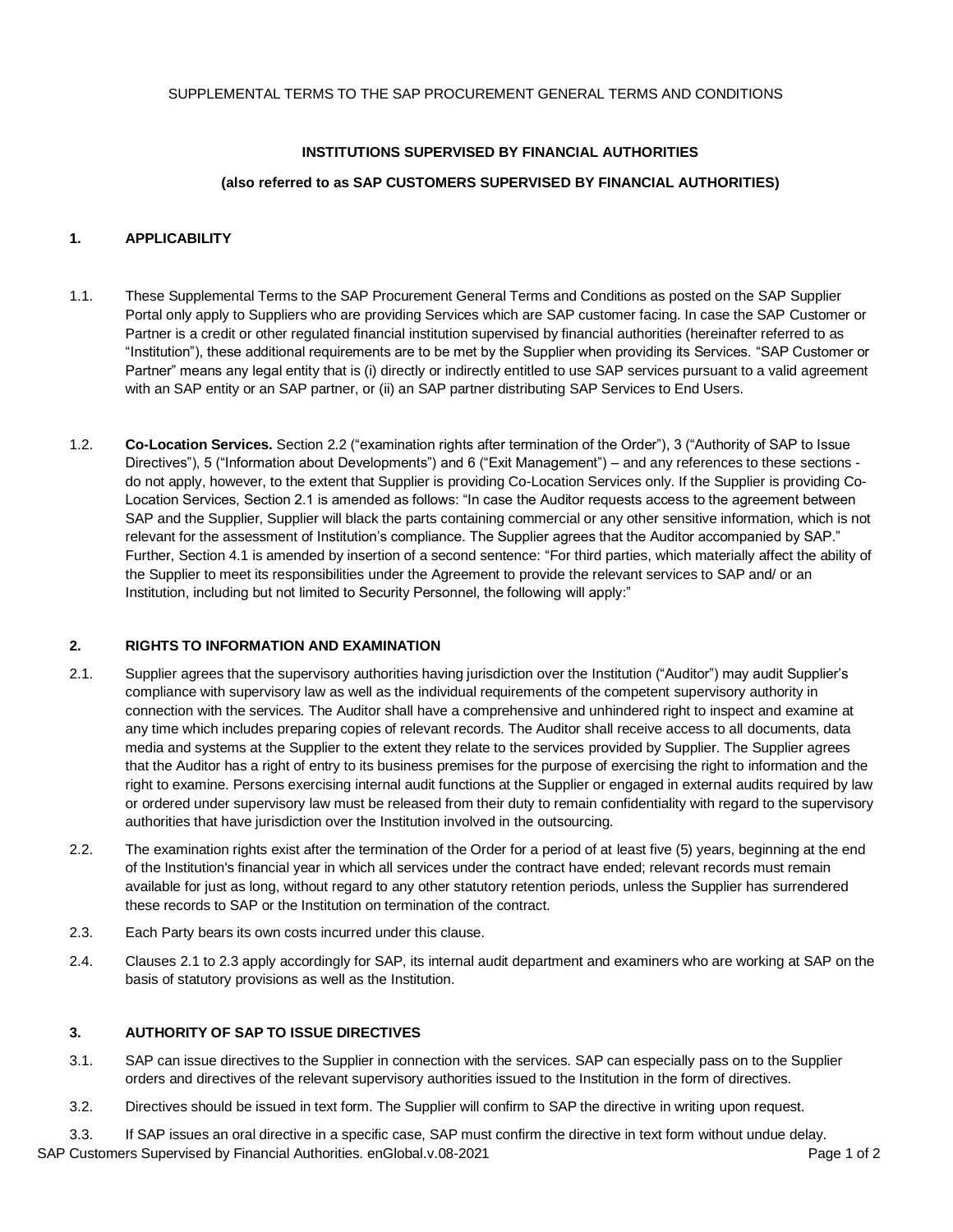# **INSTITUTIONS SUPERVISED BY FINANCIAL AUTHORITIES**

# **(also referred to as SAP CUSTOMERS SUPERVISED BY FINANCIAL AUTHORITIES)**

# **1. APPLICABILITY**

- 1.1. These Supplemental Terms to the SAP Procurement General Terms and Conditions as posted on the [SAP Supplier](https://www.sap.com/germany/about/agreements/sap-supplier-portal/terms-and-conditions.html)  [Portal](https://www.sap.com/germany/about/agreements/sap-supplier-portal/terms-and-conditions.html) only apply to Suppliers who are providing Services which are SAP customer facing. In case the SAP Customer or Partner is a credit or other regulated financial institution supervised by financial authorities (hereinafter referred to as "Institution"), these additional requirements are to be met by the Supplier when providing its Services. "SAP Customer or Partner" means any legal entity that is (i) directly or indirectly entitled to use SAP services pursuant to a valid agreement with an SAP entity or an SAP partner, or (ii) an SAP partner distributing SAP Services to End Users.
- 1.2. **Co-Location Services.** Section 2.2 ("examination rights after termination of the Order"), 3 ("Authority of SAP to Issue Directives"), 5 ("Information about Developments") and 6 ("Exit Management") – and any references to these sections do not apply, however, to the extent that Supplier is providing Co-Location Services only. If the Supplier is providing Co-Location Services, Section 2.1 is amended as follows: "In case the Auditor requests access to the agreement between SAP and the Supplier, Supplier will black the parts containing commercial or any other sensitive information, which is not relevant for the assessment of Institution's compliance. The Supplier agrees that the Auditor accompanied by SAP." Further, Section 4.1 is amended by insertion of a second sentence: "For third parties, which materially affect the ability of the Supplier to meet its responsibilities under the Agreement to provide the relevant services to SAP and/ or an Institution, including but not limited to Security Personnel, the following will apply:"

# **2. RIGHTS TO INFORMATION AND EXAMINATION**

- 2.1. Supplier agrees that the supervisory authorities having jurisdiction over the Institution ("Auditor") may audit Supplier's compliance with supervisory law as well as the individual requirements of the competent supervisory authority in connection with the services. The Auditor shall have a comprehensive and unhindered right to inspect and examine at any time which includes preparing copies of relevant records. The Auditor shall receive access to all documents, data media and systems at the Supplier to the extent they relate to the services provided by Supplier. The Supplier agrees that the Auditor has a right of entry to its business premises for the purpose of exercising the right to information and the right to examine. Persons exercising internal audit functions at the Supplier or engaged in external audits required by law or ordered under supervisory law must be released from their duty to remain confidentiality with regard to the supervisory authorities that have jurisdiction over the Institution involved in the outsourcing.
- 2.2. The examination rights exist after the termination of the Order for a period of at least five (5) years, beginning at the end of the Institution's financial year in which all services under the contract have ended; relevant records must remain available for just as long, without regard to any other statutory retention periods, unless the Supplier has surrendered these records to SAP or the Institution on termination of the contract.
- 2.3. Each Party bears its own costs incurred under this clause.
- 2.4. Clauses 2.1 to 2.3 apply accordingly for SAP, its internal audit department and examiners who are working at SAP on the basis of statutory provisions as well as the Institution.

# **3. AUTHORITY OF SAP TO ISSUE DIRECTIVES**

- 3.1. SAP can issue directives to the Supplier in connection with the services. SAP can especially pass on to the Supplier orders and directives of the relevant supervisory authorities issued to the Institution in the form of directives.
- 3.2. Directives should be issued in text form. The Supplier will confirm to SAP the directive in writing upon request.

SAP Customers Supervised by Financial Authorities. enGlobal.v.08-2021 **Page 1 of 2** Page 1 of 2 3.3. If SAP issues an oral directive in a specific case, SAP must confirm the directive in text form without undue delay.